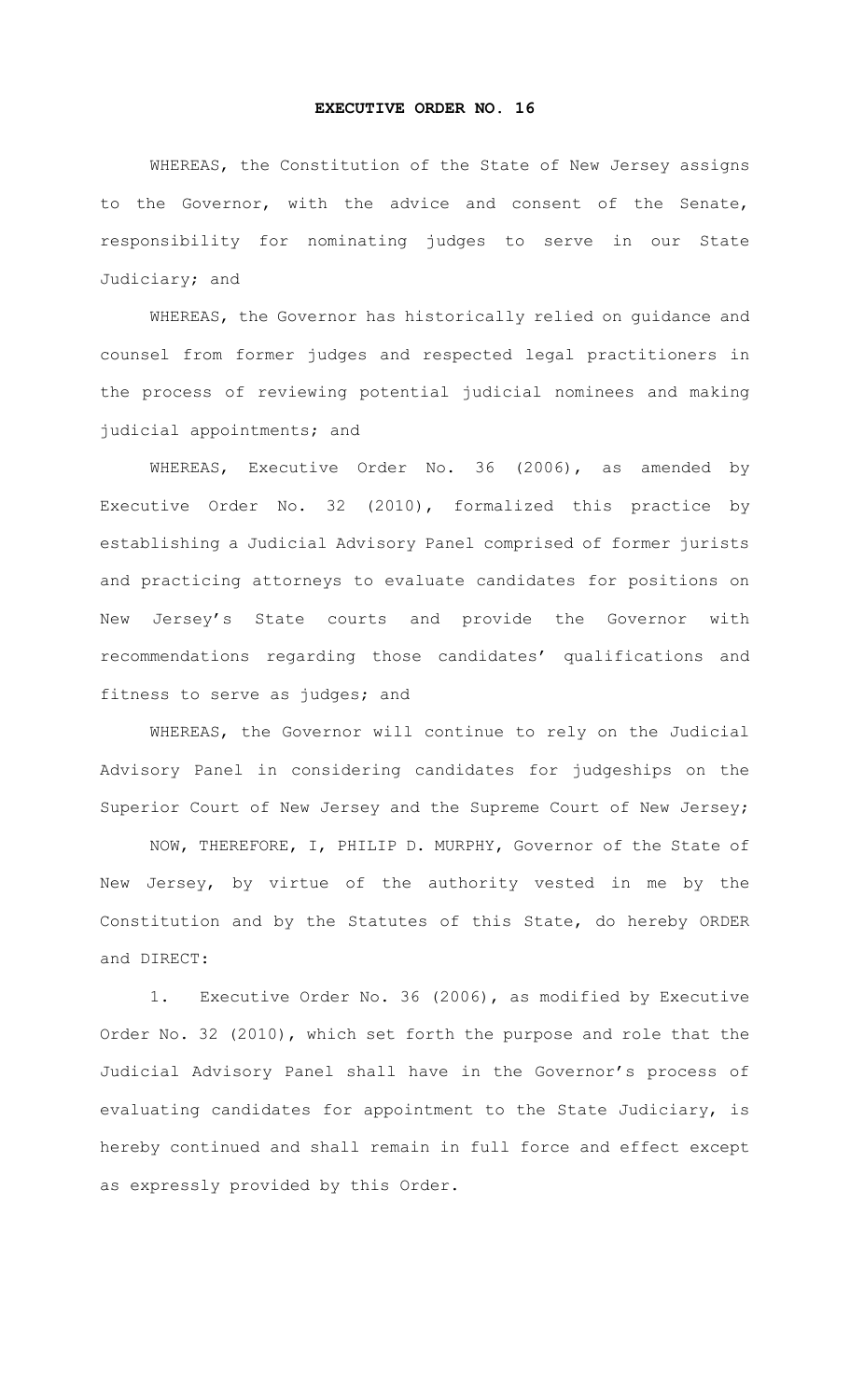## **EXECUTIVE ORDER NO. 16**

WHEREAS, the Constitution of the State of New Jersey assigns to the Governor, with the advice and consent of the Senate, responsibility for nominating judges to serve in our State Judiciary; and

WHEREAS, the Governor has historically relied on guidance and counsel from former judges and respected legal practitioners in the process of reviewing potential judicial nominees and making judicial appointments; and

WHEREAS, Executive Order No. 36 (2006), as amended by Executive Order No. 32 (2010), formalized this practice by establishing a Judicial Advisory Panel comprised of former jurists and practicing attorneys to evaluate candidates for positions on New Jersey's State courts and provide the Governor with recommendations regarding those candidates' qualifications and fitness to serve as judges; and

WHEREAS, the Governor will continue to rely on the Judicial Advisory Panel in considering candidates for judgeships on the Superior Court of New Jersey and the Supreme Court of New Jersey;

NOW, THEREFORE, I, PHILIP D. MURPHY, Governor of the State of New Jersey, by virtue of the authority vested in me by the Constitution and by the Statutes of this State, do hereby ORDER and DIRECT:

1. Executive Order No. 36 (2006), as modified by Executive Order No. 32 (2010), which set forth the purpose and role that the Judicial Advisory Panel shall have in the Governor's process of evaluating candidates for appointment to the State Judiciary, is hereby continued and shall remain in full force and effect except as expressly provided by this Order.